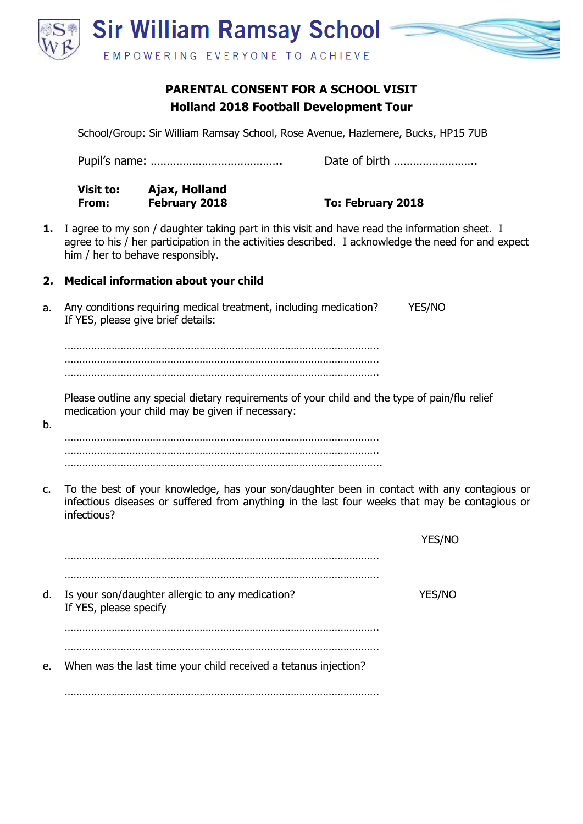

# **PARENTAL CONSENT FOR A SCHOOL VISIT Holland 2018 Football Development Tour**

School/Group: Sir William Ramsay School, Rose Avenue, Hazlemere, Bucks, HP15 7UB

Pupil's name: ………………………………….. Date of birth …………………….. **Visit to: Ajax, Holland From: February 2018 To: February 2018 1.** I agree to my son / daughter taking part in this visit and have read the information sheet. I agree to his / her participation in the activities described. I acknowledge the need for and expect him / her to behave responsibly. **2. Medical information about your child** Any conditions requiring medical treatment, including medication? YES/NO If YES, please give brief details: …………………………………………………………………………………………….. …………………………………………………………………………………………….. …………………………………………………………………………………………….. Please outline any special dietary requirements of your child and the type of pain/flu relief medication your child may be given if necessary: …………………………………………………………………………………………….. …………………………………………………………………………………………….. ……………………………………………………………………………………………... c. To the best of your knowledge, has your son/daughter been in contact with any contagious or infectious diseases or suffered from anything in the last four weeks that may be contagious or infectious? YES/NO …………………………………………………………………………………………….. …………………………………………………………………………………………….. d. Is your son/daughter allergic to any medication? YES/NO If YES, please specify …………………………………………………………………………………………….. …………………………………………………………………………………………….. e. When was the last time your child received a tetanus injection?

a.

b.